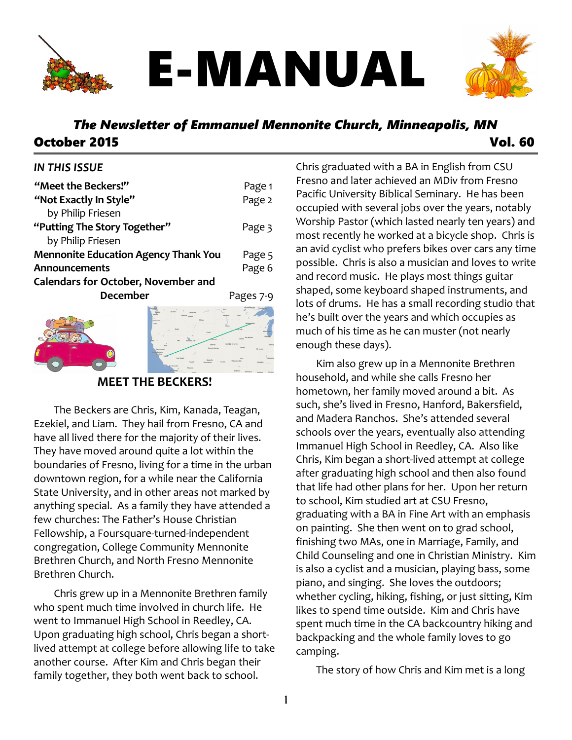

# E-MANUAL



# *The Newsletter of Emmanuel Mennonite Church, Minneapolis, MN* October 2015 Vol. 60

#### *IN THIS ISSUE*

| "Meet the Beckers!"                         | Page 1    |
|---------------------------------------------|-----------|
| "Not Exactly In Style"                      | Page 2    |
| by Philip Friesen                           |           |
| "Putting The Story Together"                | Page 3    |
| by Philip Friesen                           |           |
| <b>Mennonite Education Agency Thank You</b> | Page 5    |
| Announcements                               | Page 6    |
| <b>Calendars for October, November and</b>  |           |
| <b>December</b>                             | Pages 7-9 |
|                                             |           |



**MEET THE BECKERS!**

The Beckers are Chris, Kim, Kanada, Teagan, Ezekiel, and Liam. They hail from Fresno, CA and have all lived there for the majority of their lives. They have moved around quite a lot within the boundaries of Fresno, living for a time in the urban downtown region, for a while near the California State University, and in other areas not marked by anything special. As a family they have attended a few churches: The Father's House Christian Fellowship, a Foursquare-turned-independent congregation, College Community Mennonite Brethren Church, and North Fresno Mennonite Brethren Church.

Chris grew up in a Mennonite Brethren family who spent much time involved in church life. He went to Immanuel High School in Reedley, CA. Upon graduating high school, Chris began a shortlived attempt at college before allowing life to take another course. After Kim and Chris began their family together, they both went back to school.

Chris graduated with a BA in English from CSU Fresno and later achieved an MDiv from Fresno Pacific University Biblical Seminary. He has been occupied with several jobs over the years, notably Worship Pastor (which lasted nearly ten years) and most recently he worked at a bicycle shop. Chris is an avid cyclist who prefers bikes over cars any time possible. Chris is also a musician and loves to write and record music. He plays most things guitar shaped, some keyboard shaped instruments, and lots of drums. He has a small recording studio that he's built over the years and which occupies as much of his time as he can muster (not nearly enough these days).

Kim also grew up in a Mennonite Brethren household, and while she calls Fresno her hometown, her family moved around a bit. As such, she's lived in Fresno, Hanford, Bakersfield, and Madera Ranchos. She's attended several schools over the years, eventually also attending Immanuel High School in Reedley, CA. Also like Chris, Kim began a short-lived attempt at college after graduating high school and then also found that life had other plans for her. Upon her return to school, Kim studied art at CSU Fresno, graduating with a BA in Fine Art with an emphasis on painting. She then went on to grad school, finishing two MAs, one in Marriage, Family, and Child Counseling and one in Christian Ministry. Kim is also a cyclist and a musician, playing bass, some piano, and singing. She loves the outdoors; whether cycling, hiking, fishing, or just sitting, Kim likes to spend time outside. Kim and Chris have spent much time in the CA backcountry hiking and backpacking and the whole family loves to go camping.

The story of how Chris and Kim met is a long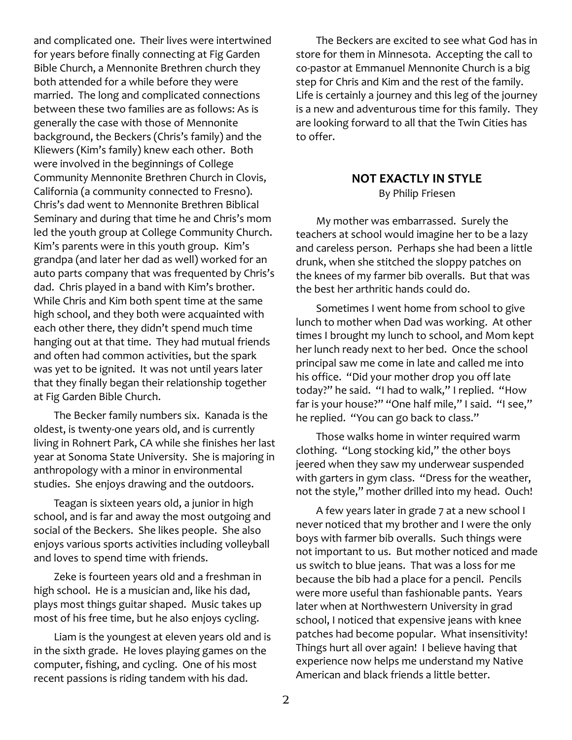and complicated one. Their lives were intertwined for years before finally connecting at Fig Garden Bible Church, a Mennonite Brethren church they both attended for a while before they were married. The long and complicated connections between these two families are as follows: As is generally the case with those of Mennonite background, the Beckers (Chris's family) and the Kliewers (Kim's family) knew each other. Both were involved in the beginnings of College Community Mennonite Brethren Church in Clovis, California (a community connected to Fresno). Chris's dad went to Mennonite Brethren Biblical Seminary and during that time he and Chris's mom led the youth group at College Community Church. Kim's parents were in this youth group. Kim's grandpa (and later her dad as well) worked for an auto parts company that was frequented by Chris's dad. Chris played in a band with Kim's brother. While Chris and Kim both spent time at the same high school, and they both were acquainted with each other there, they didn't spend much time hanging out at that time. They had mutual friends and often had common activities, but the spark was yet to be ignited. It was not until years later that they finally began their relationship together at Fig Garden Bible Church.

The Becker family numbers six. Kanada is the oldest, is twenty-one years old, and is currently living in Rohnert Park, CA while she finishes her last year at Sonoma State University. She is majoring in anthropology with a minor in environmental studies. She enjoys drawing and the outdoors.

Teagan is sixteen years old, a junior in high school, and is far and away the most outgoing and social of the Beckers. She likes people. She also enjoys various sports activities including volleyball and loves to spend time with friends.

Zeke is fourteen years old and a freshman in high school. He is a musician and, like his dad, plays most things guitar shaped. Music takes up most of his free time, but he also enjoys cycling.

Liam is the youngest at eleven years old and is in the sixth grade. He loves playing games on the computer, fishing, and cycling. One of his most recent passions is riding tandem with his dad.

The Beckers are excited to see what God has in store for them in Minnesota. Accepting the call to co-pastor at Emmanuel Mennonite Church is a big step for Chris and Kim and the rest of the family. Life is certainly a journey and this leg of the journey is a new and adventurous time for this family. They are looking forward to all that the Twin Cities has to offer.

# **NOT EXACTLY IN STYLE**

By Philip Friesen

My mother was embarrassed. Surely the teachers at school would imagine her to be a lazy and careless person. Perhaps she had been a little drunk, when she stitched the sloppy patches on the knees of my farmer bib overalls. But that was the best her arthritic hands could do.

Sometimes I went home from school to give lunch to mother when Dad was working. At other times I brought my lunch to school, and Mom kept her lunch ready next to her bed. Once the school principal saw me come in late and called me into his office. "Did your mother drop you off late today?" he said. "I had to walk," I replied. "How far is your house?" "One half mile," I said. "I see," he replied. "You can go back to class."

Those walks home in winter required warm clothing. "Long stocking kid," the other boys jeered when they saw my underwear suspended with garters in gym class. "Dress for the weather, not the style," mother drilled into my head. Ouch!

A few years later in grade 7 at a new school I never noticed that my brother and I were the only boys with farmer bib overalls. Such things were not important to us. But mother noticed and made us switch to blue jeans. That was a loss for me because the bib had a place for a pencil. Pencils were more useful than fashionable pants. Years later when at Northwestern University in grad school, I noticed that expensive jeans with knee patches had become popular. What insensitivity! Things hurt all over again! I believe having that experience now helps me understand my Native American and black friends a little better.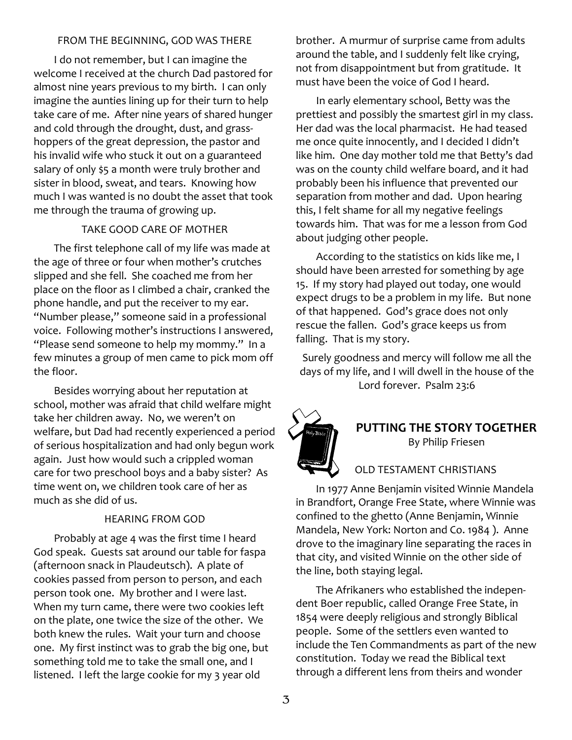#### FROM THE BEGINNING, GOD WAS THERE

I do not remember, but I can imagine the welcome I received at the church Dad pastored for almost nine years previous to my birth. I can only imagine the aunties lining up for their turn to help take care of me. After nine years of shared hunger and cold through the drought, dust, and grasshoppers of the great depression, the pastor and his invalid wife who stuck it out on a guaranteed salary of only \$5 a month were truly brother and sister in blood, sweat, and tears. Knowing how much I was wanted is no doubt the asset that took me through the trauma of growing up.

#### TAKE GOOD CARE OF MOTHER

The first telephone call of my life was made at the age of three or four when mother's crutches slipped and she fell. She coached me from her place on the floor as I climbed a chair, cranked the phone handle, and put the receiver to my ear. "Number please," someone said in a professional voice. Following mother's instructions I answered, "Please send someone to help my mommy." In a few minutes a group of men came to pick mom off the floor.

Besides worrying about her reputation at school, mother was afraid that child welfare might take her children away. No, we weren't on welfare, but Dad had recently experienced a period of serious hospitalization and had only begun work again. Just how would such a crippled woman care for two preschool boys and a baby sister? As time went on, we children took care of her as much as she did of us.

#### HEARING FROM GOD

Probably at age 4 was the first time I heard God speak. Guests sat around our table for faspa (afternoon snack in Plaudeutsch). A plate of cookies passed from person to person, and each person took one. My brother and I were last. When my turn came, there were two cookies left on the plate, one twice the size of the other. We both knew the rules. Wait your turn and choose one. My first instinct was to grab the big one, but something told me to take the small one, and I listened. I left the large cookie for my 3 year old

brother. A murmur of surprise came from adults around the table, and I suddenly felt like crying, not from disappointment but from gratitude. It must have been the voice of God I heard.

In early elementary school, Betty was the prettiest and possibly the smartest girl in my class. Her dad was the local pharmacist. He had teased me once quite innocently, and I decided I didn't like him. One day mother told me that Betty's dad was on the county child welfare board, and it had probably been his influence that prevented our separation from mother and dad. Upon hearing this, I felt shame for all my negative feelings towards him. That was for me a lesson from God about judging other people.

According to the statistics on kids like me, I should have been arrested for something by age 15. If my story had played out today, one would expect drugs to be a problem in my life. But none of that happened. God's grace does not only rescue the fallen. God's grace keeps us from falling. That is my story.

Surely goodness and mercy will follow me all the days of my life, and I will dwell in the house of the Lord forever. Psalm 23:6



**PUTTING THE STORY TOGETHER** By Philip Friesen

#### OLD TESTAMENT CHRISTIANS

In 1977 Anne Benjamin visited Winnie Mandela in Brandfort, Orange Free State, where Winnie was confined to the ghetto (Anne Benjamin, Winnie Mandela, New York: Norton and Co. 1984 ). Anne drove to the imaginary line separating the races in that city, and visited Winnie on the other side of the line, both staying legal.

The Afrikaners who established the independent Boer republic, called Orange Free State, in 1854 were deeply religious and strongly Biblical people. Some of the settlers even wanted to include the Ten Commandments as part of the new constitution. Today we read the Biblical text through a different lens from theirs and wonder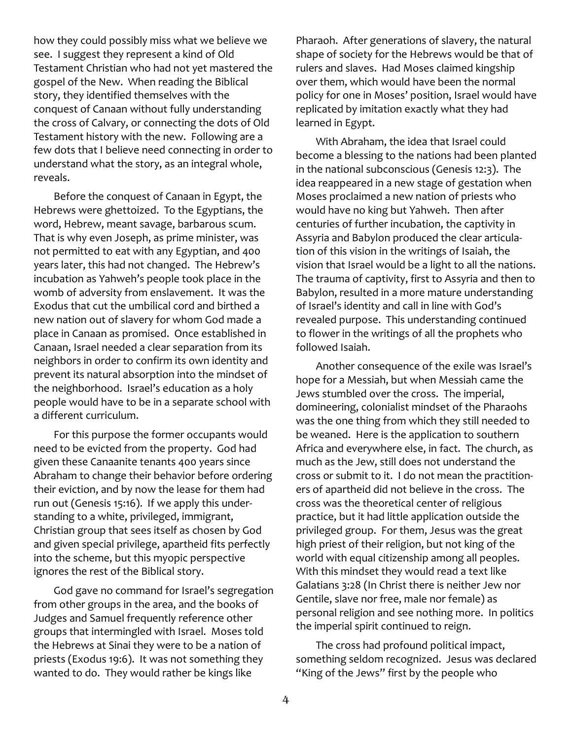how they could possibly miss what we believe we see. I suggest they represent a kind of Old Testament Christian who had not yet mastered the gospel of the New. When reading the Biblical story, they identified themselves with the conquest of Canaan without fully understanding the cross of Calvary, or connecting the dots of Old Testament history with the new. Following are a few dots that I believe need connecting in order to understand what the story, as an integral whole, reveals.

Before the conquest of Canaan in Egypt, the Hebrews were ghettoized. To the Egyptians, the word, Hebrew, meant savage, barbarous scum. That is why even Joseph, as prime minister, was not permitted to eat with any Egyptian, and 400 years later, this had not changed. The Hebrew's incubation as Yahweh's people took place in the womb of adversity from enslavement. It was the Exodus that cut the umbilical cord and birthed a new nation out of slavery for whom God made a place in Canaan as promised. Once established in Canaan, Israel needed a clear separation from its neighbors in order to confirm its own identity and prevent its natural absorption into the mindset of the neighborhood. Israel's education as a holy people would have to be in a separate school with a different curriculum.

For this purpose the former occupants would need to be evicted from the property. God had given these Canaanite tenants 400 years since Abraham to change their behavior before ordering their eviction, and by now the lease for them had run out (Genesis 15:16). If we apply this understanding to a white, privileged, immigrant, Christian group that sees itself as chosen by God and given special privilege, apartheid fits perfectly into the scheme, but this myopic perspective ignores the rest of the Biblical story.

God gave no command for Israel's segregation from other groups in the area, and the books of Judges and Samuel frequently reference other groups that intermingled with Israel. Moses told the Hebrews at Sinai they were to be a nation of priests (Exodus 19:6). It was not something they wanted to do. They would rather be kings like

Pharaoh. After generations of slavery, the natural shape of society for the Hebrews would be that of rulers and slaves. Had Moses claimed kingship over them, which would have been the normal policy for one in Moses' position, Israel would have replicated by imitation exactly what they had learned in Egypt.

With Abraham, the idea that Israel could become a blessing to the nations had been planted in the national subconscious (Genesis 12:3). The idea reappeared in a new stage of gestation when Moses proclaimed a new nation of priests who would have no king but Yahweh. Then after centuries of further incubation, the captivity in Assyria and Babylon produced the clear articulation of this vision in the writings of Isaiah, the vision that Israel would be a light to all the nations. The trauma of captivity, first to Assyria and then to Babylon, resulted in a more mature understanding of Israel's identity and call in line with God's revealed purpose. This understanding continued to flower in the writings of all the prophets who followed Isaiah.

Another consequence of the exile was Israel's hope for a Messiah, but when Messiah came the Jews stumbled over the cross. The imperial, domineering, colonialist mindset of the Pharaohs was the one thing from which they still needed to be weaned. Here is the application to southern Africa and everywhere else, in fact. The church, as much as the Jew, still does not understand the cross or submit to it. I do not mean the practitioners of apartheid did not believe in the cross. The cross was the theoretical center of religious practice, but it had little application outside the privileged group. For them, Jesus was the great high priest of their religion, but not king of the world with equal citizenship among all peoples. With this mindset they would read a text like Galatians 3:28 (In Christ there is neither Jew nor Gentile, slave nor free, male nor female) as personal religion and see nothing more. In politics the imperial spirit continued to reign.

The cross had profound political impact, something seldom recognized. Jesus was declared "King of the Jews" first by the people who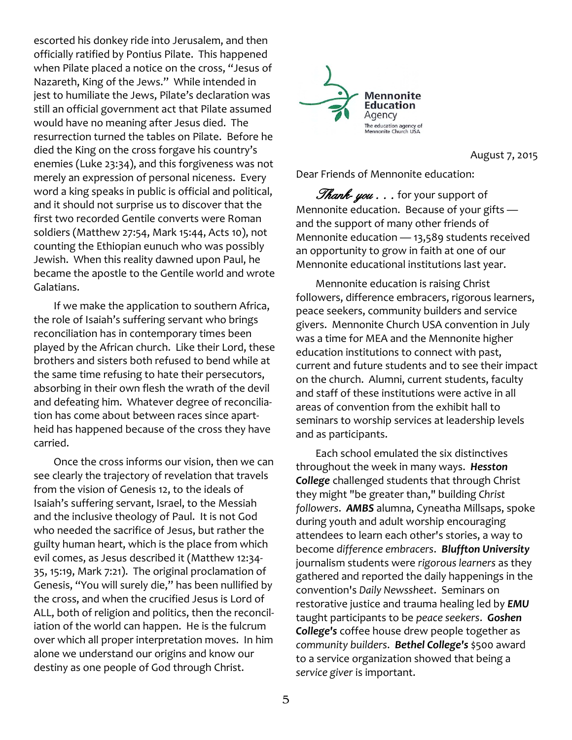escorted his donkey ride into Jerusalem, and then officially ratified by Pontius Pilate. This happened when Pilate placed a notice on the cross, "Jesus of Nazareth, King of the Jews." While intended in jest to humiliate the Jews, Pilate's declaration was still an official government act that Pilate assumed would have no meaning after Jesus died. The resurrection turned the tables on Pilate. Before he died the King on the cross forgave his country's enemies (Luke 23:34), and this forgiveness was not merely an expression of personal niceness. Every word a king speaks in public is official and political, and it should not surprise us to discover that the first two recorded Gentile converts were Roman soldiers (Matthew 27:54, Mark 15:44, Acts 10), not counting the Ethiopian eunuch who was possibly Jewish. When this reality dawned upon Paul, he became the apostle to the Gentile world and wrote Galatians.

If we make the application to southern Africa, the role of Isaiah's suffering servant who brings reconciliation has in contemporary times been played by the African church. Like their Lord, these brothers and sisters both refused to bend while at the same time refusing to hate their persecutors, absorbing in their own flesh the wrath of the devil and defeating him. Whatever degree of reconciliation has come about between races since apartheid has happened because of the cross they have carried.

Once the cross informs our vision, then we can see clearly the trajectory of revelation that travels from the vision of Genesis 12, to the ideals of Isaiah's suffering servant, Israel, to the Messiah and the inclusive theology of Paul. It is not God who needed the sacrifice of Jesus, but rather the guilty human heart, which is the place from which evil comes, as Jesus described it (Matthew 12:34- 35, 15:19, Mark 7:21). The original proclamation of Genesis, "You will surely die," has been nullified by the cross, and when the crucified Jesus is Lord of ALL, both of religion and politics, then the reconciliation of the world can happen. He is the fulcrum over which all proper interpretation moves. In him alone we understand our origins and know our destiny as one people of God through Christ.



August 7, 2015

Dear Friends of Mennonite education:

Thank- you . . . for your support of Mennonite education. Because of your gifts and the support of many other friends of Mennonite education — 13,589 students received an opportunity to grow in faith at one of our Mennonite educational institutions last year.

Mennonite education is raising Christ followers, difference embracers, rigorous learners, peace seekers, community builders and service givers. Mennonite Church USA convention in July was a time for MEA and the Mennonite higher education institutions to connect with past, current and future students and to see their impact on the church. Alumni, current students, faculty and staff of these institutions were active in all areas of convention from the exhibit hall to seminars to worship services at leadership levels and as participants.

Each school emulated the six distinctives throughout the week in many ways. *Hesston College* challenged students that through Christ they might "be greater than," building *Christ followers*. *AMBS* alumna, Cyneatha Millsaps, spoke during youth and adult worship encouraging attendees to learn each other's stories, a way to become *difference embracers*. *Bluffton University* journalism students were *rigorous learners* as they gathered and reported the daily happenings in the convention's *Daily Newssheet*. Seminars on restorative justice and trauma healing led by *EMU* taught participants to be *peace seekers*. *Goshen College's* coffee house drew people together as *community builders*. *Bethel College's* \$500 award to a service organization showed that being a *service giver* is important.